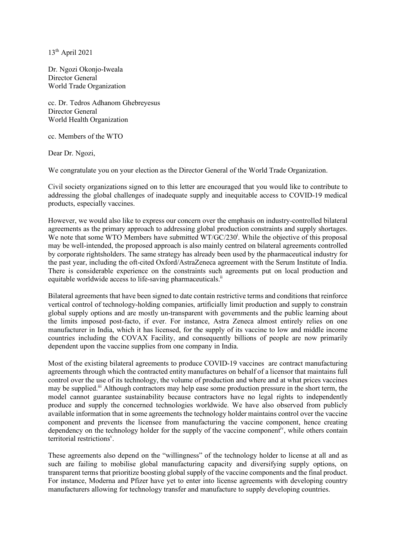13th April 2021

Dr. Ngozi Okonjo-Iweala Director General World Trade Organization

cc. Dr. Tedros Adhanom Ghebreyesus Director General World Health Organization

cc. Members of the WTO

Dear Dr. Ngozi,

We congratulate you on your election as the Director General of the World Trade Organization.

Civil society organizations signed on to this letter are encouraged that you would like to contribute to addressing the global challenges of inadequate supply and inequitable access to COVID-19 medical products, especially vaccines.

However, we would also like to express our concern over the emphasis on industry-controlled bilateral agreements as the primary approach to addressing global production constraints and supply shortages. We note that some WTO Members have submitted WT/GC/230<sup>i</sup>. While the objective of this proposal may be well-intended, the proposed approach is also mainly centred on bilateral agreements controlled by corporate rightsholders. The same strategy has already been used by the pharmaceutical industry for the past year, including the oft-cited Oxford/AstraZeneca agreement with the Serum Institute of India. There is considerable experience on the constraints such agreements put on local production and equitable worldwide access to life-saving pharmaceuticals.<sup>ii</sup>

Bilateral agreements that have been signed to date contain restrictive terms and conditions that reinforce vertical control of technology-holding companies, artificially limit production and supply to constrain global supply options and are mostly un-transparent with governments and the public learning about the limits imposed post-facto, if ever. For instance, Astra Zeneca almost entirely relies on one manufacturer in India, which it has licensed, for the supply of its vaccine to low and middle income countries including the COVAX Facility, and consequently billions of people are now primarily dependent upon the vaccine supplies from one company in India.

Most of the existing bilateral agreements to produce COVID-19 vaccines are contract manufacturing agreements through which the contracted entity manufactures on behalf of a licensor that maintains full control over the use of its technology, the volume of production and where and at what prices vaccines may be supplied.<sup>iii</sup> Although contractors may help ease some production pressure in the short term, the model cannot guarantee sustainability because contractors have no legal rights to independently produce and supply the concerned technologies worldwide. We have also observed from publicly available information that in some agreements the technology holder maintains control over the vaccine component and prevents the licensee from manufacturing the vaccine component, hence creating dependency on the technology holder for the supply of the vaccine component<sup>iv</sup>, while others contain territorial restrictions<sup>v</sup>.

These agreements also depend on the "willingness" of the technology holder to license at all and as such are failing to mobilise global manufacturing capacity and diversifying supply options, on transparent terms that prioritize boosting global supply of the vaccine components and the final product. For instance, Moderna and Pfizer have yet to enter into license agreements with developing country manufacturers allowing for technology transfer and manufacture to supply developing countries.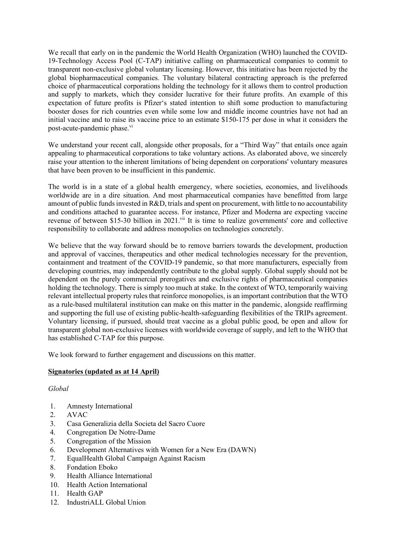We recall that early on in the pandemic the World Health Organization (WHO) launched the COVID-19-Technology Access Pool (C-TAP) initiative calling on pharmaceutical companies to commit to transparent non-exclusive global voluntary licensing. However, this initiative has been rejected by the global biopharmaceutical companies. The voluntary bilateral contracting approach is the preferred choice of pharmaceutical corporations holding the technology for it allows them to control production and supply to markets, which they consider lucrative for their future profits. An example of this expectation of future profits is Pfizer's stated intention to shift some production to manufacturing booster doses for rich countries even while some low and middle income countries have not had an initial vaccine and to raise its vaccine price to an estimate \$150-175 per dose in what it considers the post-acute-pandemic phase.<sup>vi</sup>

We understand your recent call, alongside other proposals, for a "Third Way" that entails once again appealing to pharmaceutical corporations to take voluntary actions. As elaborated above, we sincerely raise your attention to the inherent limitations of being dependent on corporations' voluntary measures that have been proven to be insufficient in this pandemic.

The world is in a state of a global health emergency, where societies, economies, and livelihoods worldwide are in a dire situation. And most pharmaceutical companies have benefitted from large amount of public funds invested in R&D, trials and spent on procurement, with little to no accountability and conditions attached to guarantee access. For instance, Pfizer and Moderna are expecting vaccine revenue of between \$15-30 billion in 2021.<sup>vii</sup> It is time to realize governments' core and collective responsibility to collaborate and address monopolies on technologies concretely.

We believe that the way forward should be to remove barriers towards the development, production and approval of vaccines, therapeutics and other medical technologies necessary for the prevention, containment and treatment of the COVID-19 pandemic, so that more manufacturers, especially from developing countries, may independently contribute to the global supply. Global supply should not be dependent on the purely commercial prerogatives and exclusive rights of pharmaceutical companies holding the technology. There is simply too much at stake. In the context of WTO, temporarily waiving relevant intellectual property rules that reinforce monopolies, is an important contribution that the WTO as a rule-based multilateral institution can make on this matter in the pandemic, alongside reaffirming and supporting the full use of existing public-health-safeguarding flexibilities of the TRIPs agreement. Voluntary licensing, if pursued, should treat vaccine as a global public good, be open and allow for transparent global non-exclusive licenses with worldwide coverage of supply, and left to the WHO that has established C-TAP for this purpose.

We look forward to further engagement and discussions on this matter.

## **Signatories (updated as at 14 April)**

## *Global*

- 1. Amnesty International
- 2. AVAC
- 3. Casa Generalizia della Societa del Sacro Cuore
- 4. Congregation De Notre-Dame
- 5. Congregation of the Mission
- 6. Development Alternatives with Women for a New Era (DAWN)
- 7. EqualHealth Global Campaign Against Racism
- 8. Fondation Eboko
- 9. Health Alliance International
- 10. Health Action International
- 11. Health GAP
- 12. IndustriALL Global Union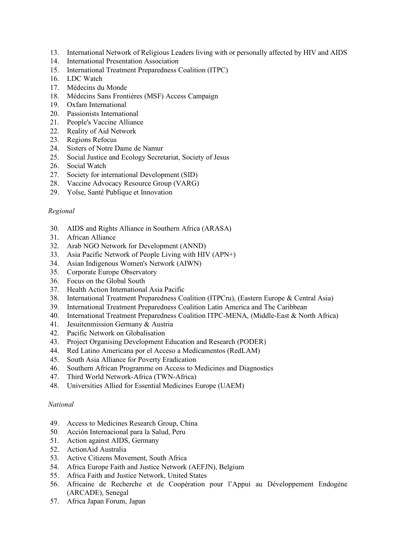- 13. International Network of Religious Leaders living with or personally affected by HIV and AIDS
- 14. International Presentation Association
- 15. International Treatment Preparedness Coalition (ITPC)
- 16. LDC Watch
- 17. Médecins du Monde
- 18. Médecins Sans Frontières (MSF) Access Campaign
- 19. Oxfam International
- 20. Passionists International
- 21. People's Vaccine Alliance
- 22. Reality of Aid Network
- 23. Regions Refocus
- 24. Sisters of Notre Dame de Namur
- 25. Social Justice and Ecology Secretariat, Society of Jesus
- 26. Social Watch
- 27. Society for international Development (SID)
- 28. Vaccine Advocacy Resource Group (VARG)
- 29. Yolse, Santé Publique et Innovation

## *Regional*

- 30. AIDS and Rights Alliance in Southern Africa (ARASA)
- 31. African Alliance
- 32. Arab NGO Network for Development (ANND)
- 33. Asia Pacific Network of People Living with HIV (APN+)
- 34. Asian Indigenous Women's Network (AIWN)
- 35. Corporate Europe Observatory
- 36. Focus on the Global South
- 37. Health Action International Asia Pacific
- 38. International Treatment Preparedness Coalition (ITPCru), (Eastern Europe & Central Asia)
- 39. International Treatment Preparedness Coalition Latin America and The Caribbean
- 40. International Treatment Preparedness Coalition ITPC-MENA, (Middle-East & North Africa)
- 41. Jesuitenmission Germany & Austria
- 42. Pacific Network on Globalisation
- 43. Project Organising Development Education and Research (PODER)
- 44. Red Latino Americana por el Acceso a Medicamentos (RedLAM)
- 45. South Asia Alliance for Poverty Eradication
- 46. Southern African Programme on Access to Medicines and Diagnostics
- 47. Third World Network-Africa (TWN-Africa)
- 48. Universities Allied for Essential Medicines Europe (UAEM)

## *National*

- 49. Access to Medicines Research Group, China
- 50. Acción Internacional para la Salud, Peru
- 51. Action against AIDS, Germany
- 52. ActionAid Australia
- 53. Active Citizens Movement, South Africa
- 54. Africa Europe Faith and Justice Network (AEFJN), Belgium
- 55. Africa Faith and Justice Network, United States
- 56. Africaine de Recherche et de Coopération pour l'Appui au Développement Endogène (ARCADE), Senegal
- 57. Africa Japan Forum, Japan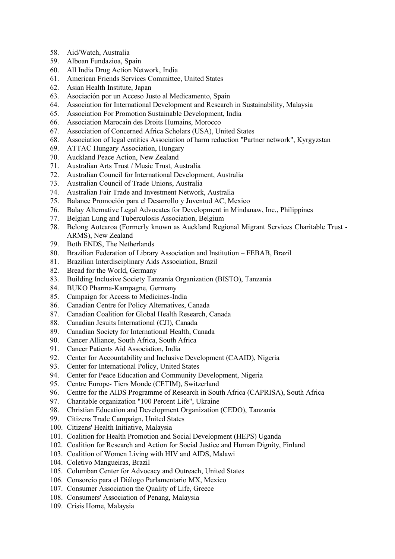- 58. Aid/Watch, Australia
- 59. Alboan Fundazioa, Spain
- 60. All India Drug Action Network, India
- 61. American Friends Services Committee, United States
- 62. Asian Health Institute, Japan
- 63. Asociación por un Acceso Justo al Medicamento, Spain
- 64. Association for International Development and Research in Sustainability, Malaysia
- 65. Association For Promotion Sustainable Development, India
- 66. Association Marocain des Droits Humains, Morocco
- 67. Association of Concerned Africa Scholars (USA), United States
- 68. Association of legal entities Association of harm reduction "Partner network", Kyrgyzstan
- 69. ATTAC Hungary Association, Hungary
- 70. Auckland Peace Action, New Zealand
- 71. Australian Arts Trust / Music Trust, Australia
- 72. Australian Council for International Development, Australia
- 73. Australian Council of Trade Unions, Australia
- 74. Australian Fair Trade and Investment Network, Australia
- 75. Balance Promoción para el Desarrollo y Juventud AC, Mexico
- 76. Balay Alternative Legal Advocates for Development in Mindanaw, Inc., Philippines
- 77. Belgian Lung and Tuberculosis Association, Belgium
- 78. Belong Aotearoa (Formerly known as Auckland Regional Migrant Services Charitable Trust ARMS), New Zealand
- 79. Both ENDS, The Netherlands
- 80. Brazilian Federation of Library Association and Institution FEBAB, Brazil
- 81. Brazilian Interdisciplinary Aids Association, Brazil
- 82. Bread for the World, Germany
- 83. Building Inclusive Society Tanzania Organization (BISTO), Tanzania
- 84. BUKO Pharma-Kampagne, Germany
- 85. Campaign for Access to Medicines-India
- 86. Canadian Centre for Policy Alternatives, Canada
- 87. Canadian Coalition for Global Health Research, Canada
- 88. Canadian Jesuits International (CJI), Canada
- 89. Canadian Society for International Health, Canada
- 90. Cancer Alliance, South Africa, South Africa
- 91. Cancer Patients Aid Association, India
- 92. Center for Accountability and Inclusive Development (CAAID), Nigeria
- 93. Center for International Policy, United States
- 94. Center for Peace Education and Community Development, Nigeria
- 95. Centre Europe- Tiers Monde (CETIM), Switzerland
- 96. Centre for the AIDS Programme of Research in South Africa (CAPRISA), South Africa
- 97. Charitable organization "100 Percent Life", Ukraine
- 98. Christian Education and Development Organization (CEDO), Tanzania
- 99. Citizens Trade Campaign, United States
- 100. Citizens' Health Initiative, Malaysia
- 101. Coalition for Health Promotion and Social Development (HEPS) Uganda
- 102. Coalition for Research and Action for Social Justice and Human Dignity, Finland
- 103. Coalition of Women Living with HIV and AIDS, Malawi
- 104. Coletivo Mangueiras, Brazil
- 105. Columban Center for Advocacy and Outreach, United States
- 106. Consorcio para el Diálogo Parlamentario MX, Mexico
- 107. Consumer Association the Quality of Life, Greece
- 108. Consumers' Association of Penang, Malaysia
- 109. Crisis Home, Malaysia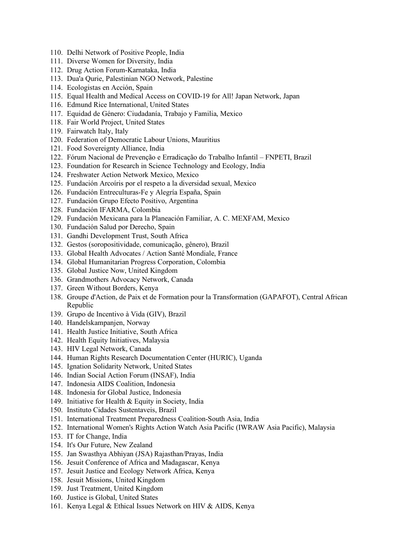- 110. Delhi Network of Positive People, India
- 111. Diverse Women for Diversity, India
- 112. Drug Action Forum-Karnataka, India
- 113. Dua'a Qurie, Palestinian NGO Network, Palestine
- 114. Ecologistas en Acción, Spain
- 115. Equal Health and Medical Access on COVID-19 for All! Japan Network, Japan
- 116. Edmund Rice International, United States
- 117. Equidad de Género: Ciudadanía, Trabajo y Familia, Mexico
- 118. Fair World Project, United States
- 119. Fairwatch Italy, Italy
- 120. Federation of Democratic Labour Unions, Mauritius
- 121. Food Sovereignty Alliance, India
- 122. Fórum Nacional de Prevenção e Erradicação do Trabalho Infantil FNPETI, Brazil
- 123. Foundation for Research in Science Technology and Ecology, India
- 124. Freshwater Action Network Mexico, Mexico
- 125. Fundación Arcoíris por el respeto a la diversidad sexual, Mexico
- 126. Fundación Entreculturas-Fe y Alegría España, Spain
- 127. Fundación Grupo Efecto Positivo, Argentina
- 128. Fundación IFARMA, Colombia
- 129. Fundación Mexicana para la Planeación Familiar, A. C. MEXFAM, Mexico
- 130. Fundación Salud por Derecho, Spain
- 131. Gandhi Development Trust, South Africa
- 132. Gestos (soropositividade, comunicação, gênero), Brazil
- 133. Global Health Advocates / Action Santé Mondiale, France
- 134. Global Humanitarian Progress Corporation, Colombia
- 135. Global Justice Now, United Kingdom
- 136. Grandmothers Advocacy Network, Canada
- 137. Green Without Borders, Kenya
- 138. Groupe d'Action, de Paix et de Formation pour la Transformation (GAPAFOT), Central African Republic
- 139. Grupo de Incentivo à Vida (GIV), Brazil
- 140. Handelskampanjen, Norway
- 141. Health Justice Initiative, South Africa
- 142. Health Equity Initiatives, Malaysia
- 143. HIV Legal Network, Canada
- 144. Human Rights Research Documentation Center (HURIC), Uganda
- 145. Ignation Solidarity Network, United States
- 146. Indian Social Action Forum (INSAF), India
- 147. Indonesia AIDS Coalition, Indonesia
- 148. Indonesia for Global Justice, Indonesia
- 149. Initiative for Health & Equity in Society, India
- 150. Instituto Cidades Sustentaveis, Brazil
- 151. International Treatment Preparedness Coalition-South Asia, India
- 152. International Women's Rights Action Watch Asia Pacific (IWRAW Asia Pacific), Malaysia
- 153. IT for Change, India
- 154. It's Our Future, New Zealand
- 155. Jan Swasthya Abhiyan (JSA) Rajasthan/Prayas, India
- 156. Jesuit Conference of Africa and Madagascar, Kenya
- 157. Jesuit Justice and Ecology Network Africa, Kenya
- 158. Jesuit Missions, United Kingdom
- 159. Just Treatment, United Kingdom
- 160. Justice is Global, United States
- 161. Kenya Legal & Ethical Issues Network on HIV & AIDS, Kenya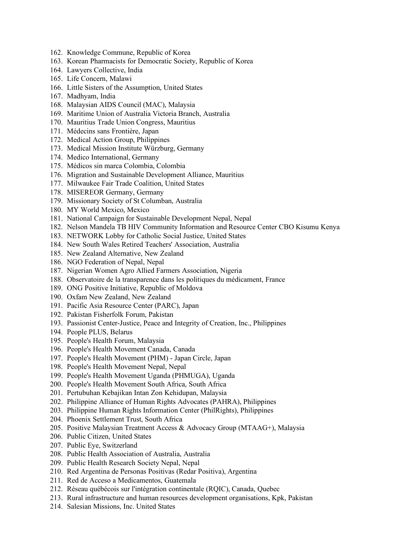- 162. Knowledge Commune, Republic of Korea
- 163. Korean Pharmacists for Democratic Society, Republic of Korea
- 164. Lawyers Collective, India
- 165. Life Concern, Malawi
- 166. Little Sisters of the Assumption, United States
- 167. Madhyam, India
- 168. Malaysian AIDS Council (MAC), Malaysia
- 169. Maritime Union of Australia Victoria Branch, Australia
- 170. Mauritius Trade Union Congress, Mauritius
- 171. Médecins sans Frontière, Japan
- 172. Medical Action Group, Philippines
- 173. Medical Mission Institute Würzburg, Germany
- 174. Medico International, Germany
- 175. Médicos sin marca Colombia, Colombia
- 176. Migration and Sustainable Development Alliance, Mauritius
- 177. Milwaukee Fair Trade Coalition, United States
- 178. MISEREOR Germany, Germany
- 179. Missionary Society of St Columban, Australia
- 180. MY World Mexico, Mexico
- 181. National Campaign for Sustainable Development Nepal, Nepal
- 182. Nelson Mandela TB HIV Community Information and Resource Center CBO Kisumu Kenya
- 183. NETWORK Lobby for Catholic Social Justice, United States
- 184. New South Wales Retired Teachers' Association, Australia
- 185. New Zealand Alternative, New Zealand
- 186. NGO Federation of Nepal, Nepal
- 187. Nigerian Women Agro Allied Farmers Association, Nigeria
- 188. Observatoire de la transparence dans les politiques du médicament, France
- 189. ONG Positive Initiative, Republic of Moldova
- 190. Oxfam New Zealand, New Zealand
- 191. Pacific Asia Resource Center (PARC), Japan
- 192. Pakistan Fisherfolk Forum, Pakistan
- 193. Passionist Center-Justice, Peace and Integrity of Creation, Inc., Philippines
- 194. People PLUS, Belarus
- 195. People's Health Forum, Malaysia
- 196. People's Health Movement Canada, Canada
- 197. People's Health Movement (PHM) Japan Circle, Japan
- 198. People's Health Movement Nepal, Nepal
- 199. People's Health Movement Uganda (PHMUGA), Uganda
- 200. People's Health Movement South Africa, South Africa
- 201. Pertubuhan Kebajikan Intan Zon Kehidupan, Malaysia
- 202. Philippine Alliance of Human Rights Advocates (PAHRA), Philippines
- 203. Philippine Human Rights Information Center (PhilRights), Philippines
- 204. Phoenix Settlement Trust, South Africa
- 205. Positive Malaysian Treatment Access & Advocacy Group (MTAAG+), Malaysia
- 206. Public Citizen, United States
- 207. Public Eye, Switzerland
- 208. Public Health Association of Australia, Australia
- 209. Public Health Research Society Nepal, Nepal
- 210. Red Argentina de Personas Positivas (Redar Positiva), Argentina
- 211. Red de Acceso a Medicamentos, Guatemala
- 212. Réseau québécois sur l'intégration continentale (RQIC), Canada, Quebec
- 213. Rural infrastructure and human resources development organisations, Kpk, Pakistan
- 214. Salesian Missions, Inc. United States